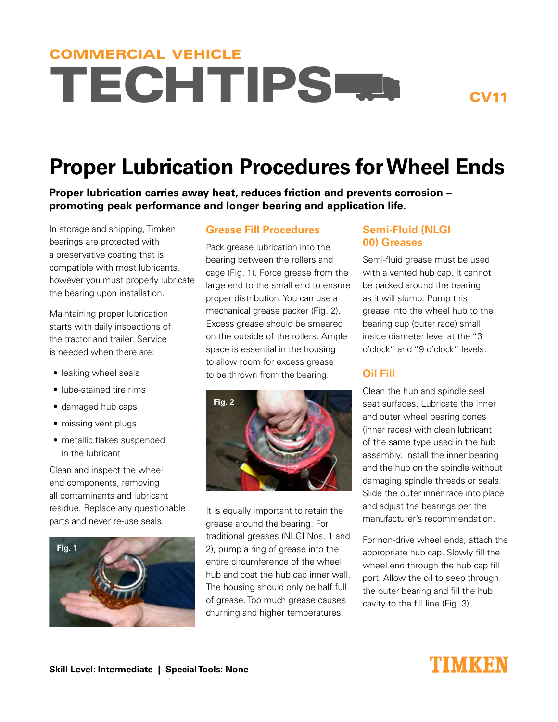# **TECHTIPS FRA** COMMERCIAL VEHICLE

## **Proper Lubrication Procedures for Wheel Ends**

**Proper lubrication carries away heat, reduces friction and prevents corrosion – promoting peak performance and longer bearing and application life.** 

In storage and shipping, Timken bearings are protected with a preservative coating that is compatible with most lubricants, however you must properly lubricate the bearing upon installation.

Maintaining proper lubrication starts with daily inspections of the tractor and trailer. Service is needed when there are:

- leaking wheel seals
- lube-stained tire rims
- damaged hub caps
- missing vent plugs
- metallic flakes suspended in the lubricant

Clean and inspect the wheel end components, removing all contaminants and lubricant residue. Replace any questionable parts and never re-use seals.



#### **Grease Fill Procedures**

Pack grease lubrication into the bearing between the rollers and cage (Fig. 1). Force grease from the large end to the small end to ensure proper distribution. You can use a mechanical grease packer (Fig. 2). Excess grease should be smeared on the outside of the rollers. Ample space is essential in the housing to allow room for excess grease to be thrown from the bearing.



It is equally important to retain the grease around the bearing. For traditional greases (NLGI Nos. 1 and 2), pump a ring of grease into the entire circumference of the wheel hub and coat the hub cap inner wall. The housing should only be half full of grease. Too much grease causes churning and higher temperatures.

#### **Semi-Fluid (NLGI 00) Greases**

Semi-fluid grease must be used with a vented hub cap. It cannot be packed around the bearing as it will slump. Pump this grease into the wheel hub to the bearing cup (outer race) small inside diameter level at the "3 o'clock" and "9 o'clock" levels.

### **Oil Fill**

Clean the hub and spindle seal seat surfaces. Lubricate the inner and outer wheel bearing cones (inner races) with clean lubricant of the same type used in the hub assembly. Install the inner bearing and the hub on the spindle without damaging spindle threads or seals. Slide the outer inner race into place and adjust the bearings per the manufacturer's recommendation.

For non-drive wheel ends, attach the appropriate hub cap. Slowly fill the wheel end through the hub cap fill port. Allow the oil to seep through the outer bearing and fill the hub cavity to the fill line (Fig. 3).